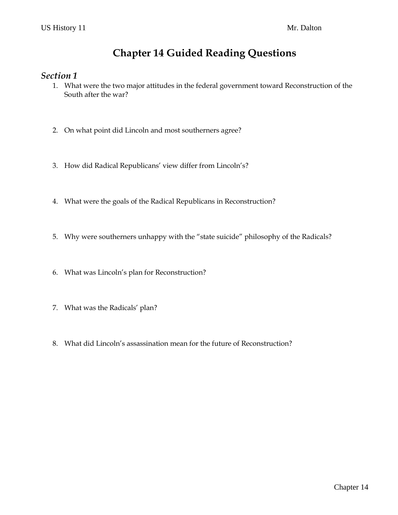## **Chapter 14 Guided Reading Questions**

### *Section 1*

- 1. What were the two major attitudes in the federal government toward Reconstruction of the South after the war?
- 2. On what point did Lincoln and most southerners agree?
- 3. How did Radical Republicans' view differ from Lincoln's?
- 4. What were the goals of the Radical Republicans in Reconstruction?
- 5. Why were southerners unhappy with the "state suicide" philosophy of the Radicals?
- 6. What was Lincoln's plan for Reconstruction?
- 7. What was the Radicals' plan?
- 8. What did Lincoln's assassination mean for the future of Reconstruction?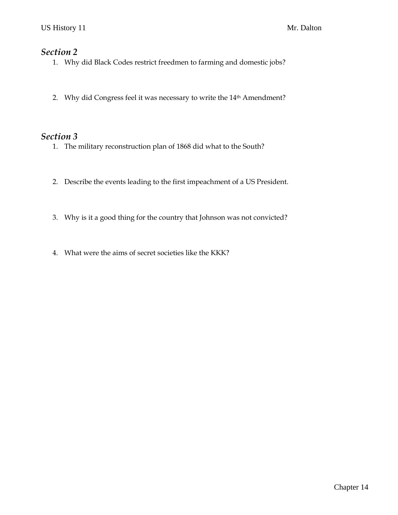### *Section 2*

- 1. Why did Black Codes restrict freedmen to farming and domestic jobs?
- 2. Why did Congress feel it was necessary to write the 14th Amendment?

### *Section 3*

- 1. The military reconstruction plan of 1868 did what to the South?
- 2. Describe the events leading to the first impeachment of a US President.
- 3. Why is it a good thing for the country that Johnson was not convicted?
- 4. What were the aims of secret societies like the KKK?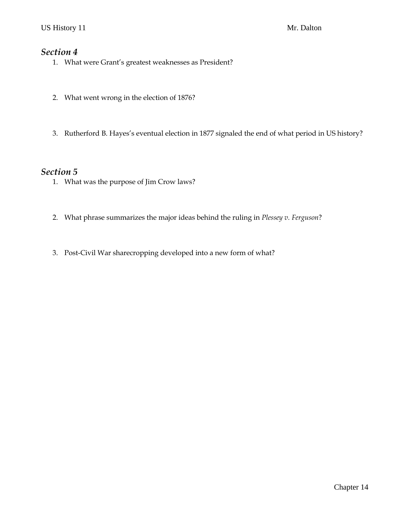### *Section 4*

- 1. What were Grant's greatest weaknesses as President?
- 2. What went wrong in the election of 1876?
- 3. Rutherford B. Hayes's eventual election in 1877 signaled the end of what period in US history?

#### *Section 5*

- 1. What was the purpose of Jim Crow laws?
- 2. What phrase summarizes the major ideas behind the ruling in *Plessey v. Ferguson*?
- 3. Post-Civil War sharecropping developed into a new form of what?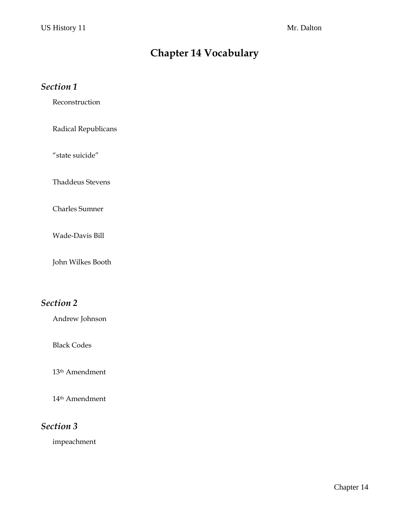# **Chapter 14 Vocabulary**

### *Section 1*

Reconstruction

Radical Republicans

"state suicide"

Thaddeus Stevens

Charles Sumner

Wade-Davis Bill

John Wilkes Booth

## *Section 2*

Andrew Johnson

Black Codes

13th Amendment

14th Amendment

## *Section 3*

impeachment